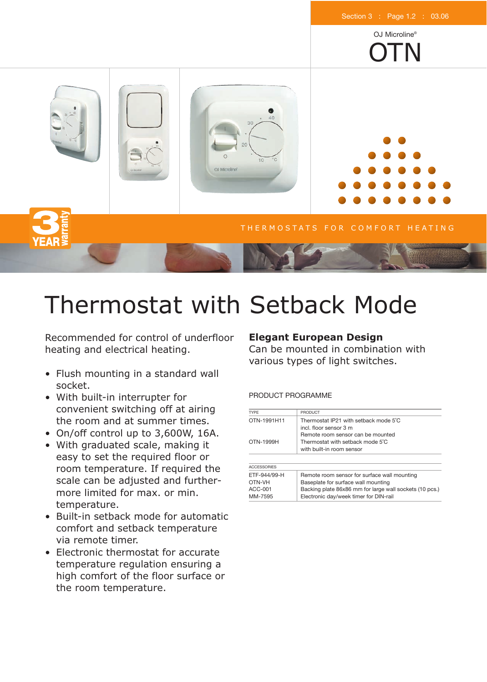

# Thermostat with Setback Mode

Recommended for control of underfloor heating and electrical heating.

- Flush mounting in a standard wall socket.
- With built-in interrupter for convenient switching off at airing the room and at summer times.
- On/off control up to 3,600W, 16A.
- With graduated scale, making it easy to set the required floor or room temperature. If required the scale can be adjusted and furthermore limited for max. or min. temperature.
- Built-in setback mode for automatic comfort and setback temperature via remote timer.
- Electronic thermostat for accurate temperature regulation ensuring a high comfort of the floor surface or the room temperature.

# **Elegant European Design**

Can be mounted in combination with various types of light switches.

# PRODUCT PROGRAMME

| TYPE               | <b>PRODUCT</b>                                                  |  |  |
|--------------------|-----------------------------------------------------------------|--|--|
| OTN-1991H11        | Thermostat IP21 with setback mode 5°C<br>incl. floor sensor 3 m |  |  |
|                    | Remote room sensor can be mounted                               |  |  |
| OTN-1999H          | Thermostat with setback mode 5°C                                |  |  |
|                    | with built-in room sensor                                       |  |  |
|                    |                                                                 |  |  |
| <b>ACCESSORIES</b> |                                                                 |  |  |
| ETF-944/99-H       | Remote room sensor for surface wall mounting                    |  |  |
| OTN-VH             | Baseplate for surface wall mounting                             |  |  |
| ACC-001            | Backing plate 86x86 mm for large wall sockets (10 pcs.)         |  |  |
| MM-7595            | Electronic day/week timer for DIN-rail                          |  |  |